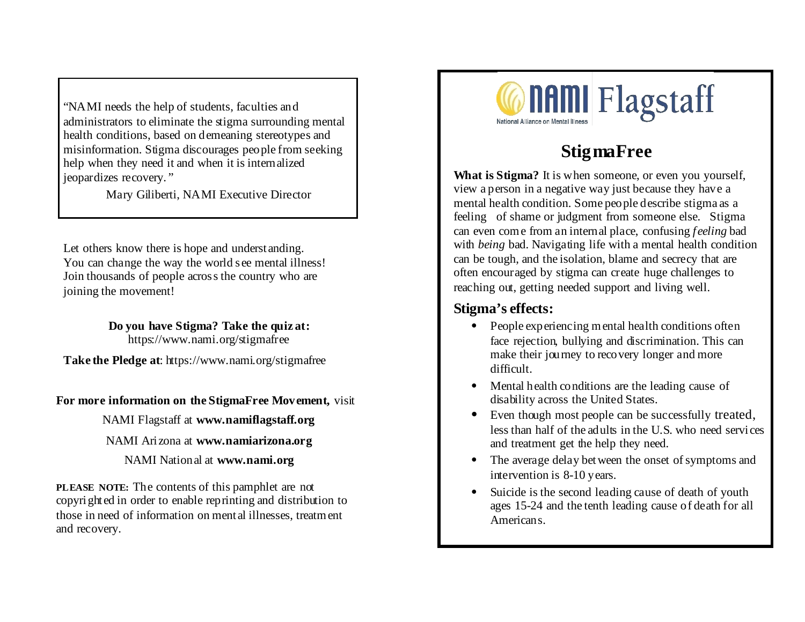"NAMI needs the help of students, faculties and administrators to eliminate the stigma surrounding mental health conditions, based on demeaning stereotypes and misinformation. Stigma discourages people from seeking help when they need it and when it is internalized jeopardizes recovery. "

Mary Giliberti, NAMI Executive Director

Let others know there is hope and understanding. You can change the way the world see mental illness! Join thousands of people across the country who are joining the movement!

> **Do you have Stigma? Take the quiz at:** https://www.nami.org/stigmafree

**Take the Pledge at**: https://www.nami.org/stigmafree

**For more information on the StigmaFree Movement,** visit

NAMI Flagstaff at **www.namiflagstaff.org**

NAMI Arizona at **www.namiarizona.org**

NAMI National at **www.nami.org**

**PLEASE NOTE:** The contents of this pamphlet are not copyrighted in order to enable reprinting and distribution to those in need of information on mental illnesses, treatment and recovery.



# **StigmaFree**

**What is Stigma?** It is when someone, or even you yourself, view a person in a negative way just because they have a mental health condition. Some people describe stigma as a feeling of shame or judgment from someone else. Stigma can even come from an internal place, confusing *feeling* bad with *being* bad. Navigating life with a mental health condition can be tough, and the isolation, blame and secrecy that are often encouraged by stigma can create huge challenges to reaching out, getting needed support and living well.

## **Stigma's effects:**

- People experiencing mental health conditions often face rejection, bullying and discrimination. This can make their journey to recovery longer and more difficult.
- Mental health conditions are the leading cause of disability across the United States.
- Even though most people can be successfully treated, less than half of the adults in the U.S. who need services and treatment get the help they need.
- The average delay bet ween the onset of symptoms and intervention is 8-10 years.
- Suicide is the second leading cause of death of youth ages 15-24 and the tenth leading cause of death for all Americans.